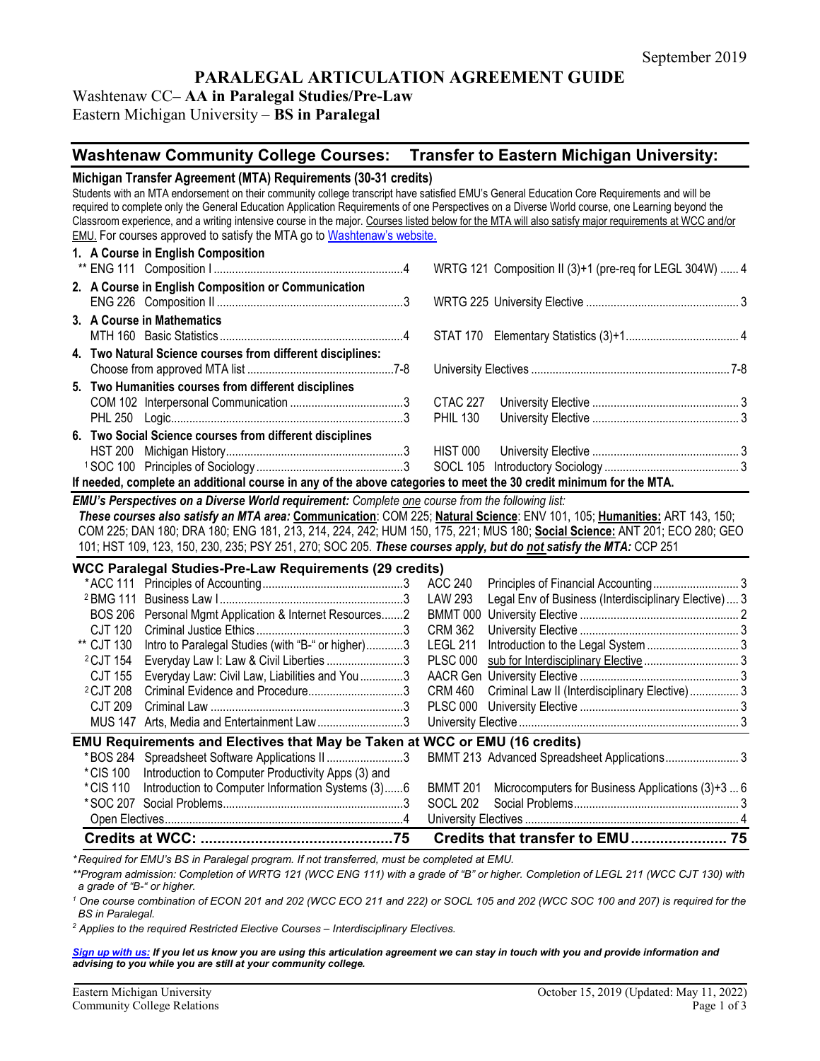# **PARALEGAL ARTICULATION AGREEMENT GUIDE**

# Washtenaw CC**– AA in Paralegal Studies/Pre-Law**

Eastern Michigan University – **BS in Paralegal**

# **Washtenaw Community College Courses: Transfer to Eastern Michigan University:**

| Michigan Transfer Agreement (MTA) Requirements (30-31 credits)<br>Students with an MTA endorsement on their community college transcript have satisfied EMU's General Education Core Requirements and will be<br>required to complete only the General Education Application Requirements of one Perspectives on a Diverse World course, one Learning beyond the<br>Classroom experience, and a writing intensive course in the major. Courses listed below for the MTA will also satisfy major requirements at WCC and/or<br><b>EMU.</b> For courses approved to satisfy the MTA go to Washtenaw's website. |                                                                  |  |  |  |  |  |
|--------------------------------------------------------------------------------------------------------------------------------------------------------------------------------------------------------------------------------------------------------------------------------------------------------------------------------------------------------------------------------------------------------------------------------------------------------------------------------------------------------------------------------------------------------------------------------------------------------------|------------------------------------------------------------------|--|--|--|--|--|
| 1. A Course in English Composition                                                                                                                                                                                                                                                                                                                                                                                                                                                                                                                                                                           | WRTG 121 Composition II (3)+1 (pre-req for LEGL 304W)  4         |  |  |  |  |  |
| 2. A Course in English Composition or Communication                                                                                                                                                                                                                                                                                                                                                                                                                                                                                                                                                          |                                                                  |  |  |  |  |  |
| 3. A Course in Mathematics                                                                                                                                                                                                                                                                                                                                                                                                                                                                                                                                                                                   |                                                                  |  |  |  |  |  |
| 4. Two Natural Science courses from different disciplines:                                                                                                                                                                                                                                                                                                                                                                                                                                                                                                                                                   |                                                                  |  |  |  |  |  |
| 5. Two Humanities courses from different disciplines                                                                                                                                                                                                                                                                                                                                                                                                                                                                                                                                                         | CTAC 227<br><b>PHIL 130</b>                                      |  |  |  |  |  |
| 6. Two Social Science courses from different disciplines<br>If needed, complete an additional course in any of the above categories to meet the 30 credit minimum for the MTA.                                                                                                                                                                                                                                                                                                                                                                                                                               | HIST 000                                                         |  |  |  |  |  |
| EMU's Perspectives on a Diverse World requirement: Complete one course from the following list:<br>These courses also satisfy an MTA area: Communication: COM 225; Natural Science: ENV 101, 105; Humanities: ART 143, 150;<br>COM 225; DAN 180; DRA 180; ENG 181, 213, 214, 224, 242; HUM 150, 175, 221; MUS 180; Social Science: ANT 201; ECO 280; GEO<br>101; HST 109, 123, 150, 230, 235; PSY 251, 270; SOC 205. These courses apply, but do not satisfy the MTA: CCP 251                                                                                                                                |                                                                  |  |  |  |  |  |
| <b>WCC Paralegal Studies-Pre-Law Requirements (29 credits)</b>                                                                                                                                                                                                                                                                                                                                                                                                                                                                                                                                               |                                                                  |  |  |  |  |  |
|                                                                                                                                                                                                                                                                                                                                                                                                                                                                                                                                                                                                              | ACC 240<br>LAW 293                                               |  |  |  |  |  |
| Personal Mgmt Application & Internet Resources2<br><b>BOS 206</b>                                                                                                                                                                                                                                                                                                                                                                                                                                                                                                                                            | Legal Env of Business (Interdisciplinary Elective)  3            |  |  |  |  |  |
| <b>CJT 120</b>                                                                                                                                                                                                                                                                                                                                                                                                                                                                                                                                                                                               | <b>CRM 362</b>                                                   |  |  |  |  |  |
| ** CJT 130<br>Intro to Paralegal Studies (with "B-" or higher)3                                                                                                                                                                                                                                                                                                                                                                                                                                                                                                                                              | <b>LEGL 211</b>                                                  |  |  |  |  |  |
| <sup>2</sup> CJT 154<br>Everyday Law I: Law & Civil Liberties 3                                                                                                                                                                                                                                                                                                                                                                                                                                                                                                                                              | <b>PLSC 000</b>                                                  |  |  |  |  |  |
| Everyday Law: Civil Law, Liabilities and You 3<br>CJT 155                                                                                                                                                                                                                                                                                                                                                                                                                                                                                                                                                    |                                                                  |  |  |  |  |  |
| Criminal Evidence and Procedure3<br><sup>2</sup> CJT 208                                                                                                                                                                                                                                                                                                                                                                                                                                                                                                                                                     | <b>CRM 460</b><br>Criminal Law II (Interdisciplinary Elective) 3 |  |  |  |  |  |
| <b>CJT 209</b>                                                                                                                                                                                                                                                                                                                                                                                                                                                                                                                                                                                               |                                                                  |  |  |  |  |  |
| MUS 147 Arts, Media and Entertainment Law3                                                                                                                                                                                                                                                                                                                                                                                                                                                                                                                                                                   |                                                                  |  |  |  |  |  |
| <b>EMU Requirements and Electives that May be Taken at WCC or EMU (16 credits)</b>                                                                                                                                                                                                                                                                                                                                                                                                                                                                                                                           |                                                                  |  |  |  |  |  |
| *BOS 284 Spreadsheet Software Applications II3                                                                                                                                                                                                                                                                                                                                                                                                                                                                                                                                                               | BMMT 213 Advanced Spreadsheet Applications 3                     |  |  |  |  |  |
| * CIS 100<br>Introduction to Computer Productivity Apps (3) and                                                                                                                                                                                                                                                                                                                                                                                                                                                                                                                                              |                                                                  |  |  |  |  |  |
| Introduction to Computer Information Systems (3)6<br>*CIS 110                                                                                                                                                                                                                                                                                                                                                                                                                                                                                                                                                | Microcomputers for Business Applications (3)+3  6<br>BMMT 201    |  |  |  |  |  |
|                                                                                                                                                                                                                                                                                                                                                                                                                                                                                                                                                                                                              | <b>SOCL 202</b>                                                  |  |  |  |  |  |
|                                                                                                                                                                                                                                                                                                                                                                                                                                                                                                                                                                                                              |                                                                  |  |  |  |  |  |
|                                                                                                                                                                                                                                                                                                                                                                                                                                                                                                                                                                                                              |                                                                  |  |  |  |  |  |
| * Required for FMI I's BS in Paralegal program, If not transferred, must be completed at FMI I                                                                                                                                                                                                                                                                                                                                                                                                                                                                                                               |                                                                  |  |  |  |  |  |

*\* Required for EMU's BS in Paralegal program. If not transferred, must be completed at EMU.* 

*\*\*Program admission: Completion of WRTG 121 (WCC ENG 111) with a grade of "B" or higher. Completion of LEGL 211 (WCC CJT 130) with a grade of "B-" or higher.* 

*<sup>1</sup> One course combination of ECON 201 and 202 (WCC ECO 211 and 222) or SOCL 105 and 202 (WCC SOC 100 and 207) is required for the BS in Paralegal.* 

*<sup>2</sup> Applies to the required Restricted Elective Courses – Interdisciplinary Electives.*

*[Sign up with us:](https://www.emich.edu/ccr/articulation-agreements/signup.php) If you let us know you are using this articulation agreement we can stay in touch with you and provide information and advising to you while you are still at your community college.*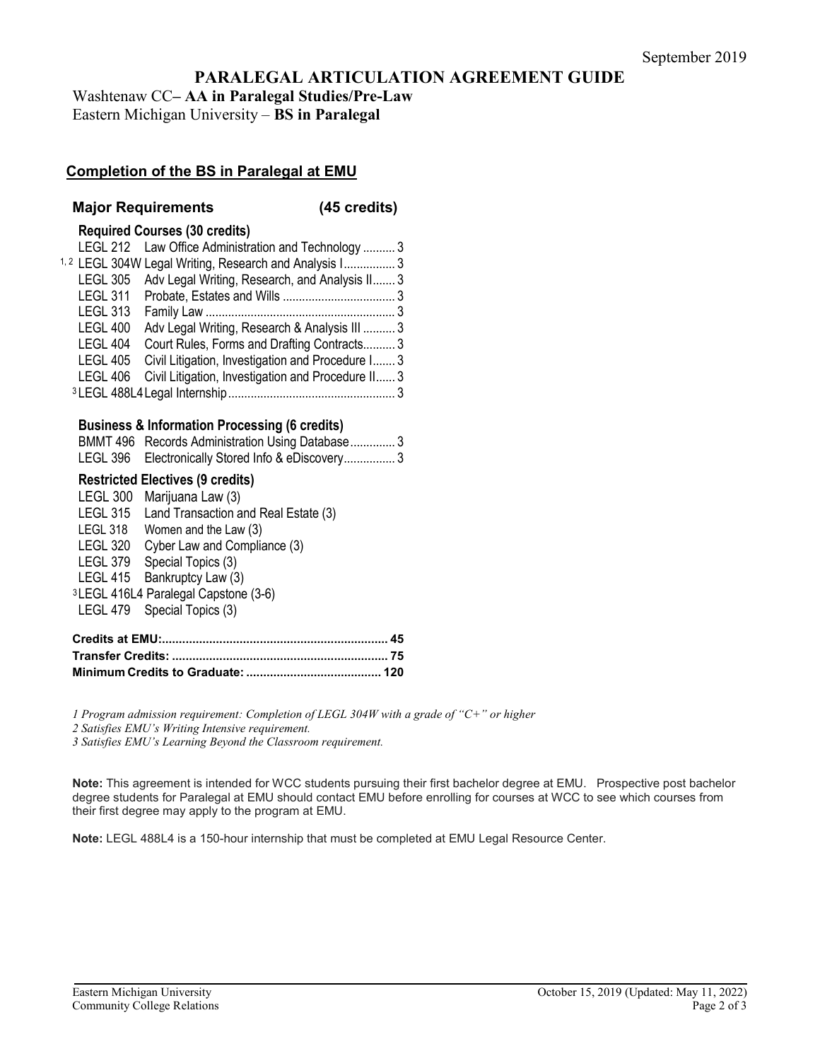# **PARALEGAL ARTICULATION AGREEMENT GUIDE**

Washtenaw CC**– AA in Paralegal Studies/Pre-Law** Eastern Michigan University – **BS in Paralegal**

# **Completion of the BS in Paralegal at EMU**

#### **Major Requirements (45 credits)**

#### **Required Courses (30 credits)**

|                 | LEGL 212 Law Office Administration and Technology  3              |  |
|-----------------|-------------------------------------------------------------------|--|
|                 | <sup>1,2</sup> LEGL 304W Legal Writing, Research and Analysis I 3 |  |
|                 | LEGL 305 Adv Legal Writing, Research, and Analysis II 3           |  |
|                 |                                                                   |  |
| <b>LEGL 313</b> |                                                                   |  |
| <b>LEGL 400</b> | Adv Legal Writing, Research & Analysis III  3                     |  |
| LEGL 404        | Court Rules, Forms and Drafting Contracts 3                       |  |
| <b>LEGL 405</b> | Civil Litigation, Investigation and Procedure I 3                 |  |
| LEGL 406        | Civil Litigation, Investigation and Procedure II 3                |  |
|                 |                                                                   |  |

#### **Business & Information Processing (6 credits)**

| BMMT 496 Records Administration Using Database3   |
|---------------------------------------------------|
| LEGL 396 Electronically Stored Info & eDiscovery3 |

#### **Restricted Electives (9 credits)**

| <b>LEGL 300</b> | Marijuana Law (3)                    |
|-----------------|--------------------------------------|
| <b>LEGL 315</b> | Land Transaction and Real Estate (3) |
| LEGL 318        | Women and the Law (3)                |
| <b>LEGL 320</b> | Cyber Law and Compliance (3)         |
|                 | LEGL 379 Special Topics (3)          |
|                 | LEGL 415 Bankruptcy Law (3)          |
|                 | 3LEGL 416L4 Paralegal Capstone (3-6) |
|                 | LEGL 479 Special Topics (3)          |
|                 |                                      |

*1 Program admission requirement: Completion of LEGL 304W with a grade of "C+" or higher*

*2 Satisfies EMU's Writing Intensive requirement.*

*3 Satisfies EMU's Learning Beyond the Classroom requirement.* 

**Note:** This agreement is intended for WCC students pursuing their first bachelor degree at EMU. Prospective post bachelor degree students for Paralegal at EMU should contact EMU before enrolling for courses at WCC to see which courses from their first degree may apply to the program at EMU.

**Note:** LEGL 488L4 is a 150-hour internship that must be completed at EMU Legal Resource Center.